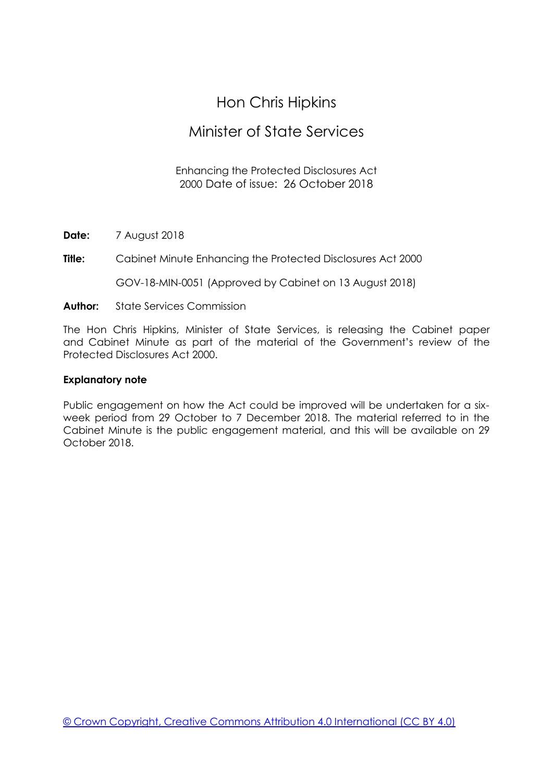# Hon Chris Hipkins

# Minister of State Services

### Enhancing the Protected Disclosures Act 2000 Date of issue: 26 October 2018

**Date:** 7 August 2018

**Title:** Cabinet Minute Enhancing the Protected Disclosures Act 2000

GOV-18-MIN-0051 (Approved by Cabinet on 13 August 2018)

**Author:** State Services Commission

The Hon Chris Hipkins, Minister of State Services, is releasing the Cabinet paper and Cabinet Minute as part of the material of the Government's review of the Protected Disclosures Act 2000.

#### **Explanatory note**

Public engagement on how the Act could be improved will be undertaken for a sixweek period from 29 October to 7 December 2018. The material referred to in the Cabinet Minute is the public engagement material, and this will be available on 29 October 2018.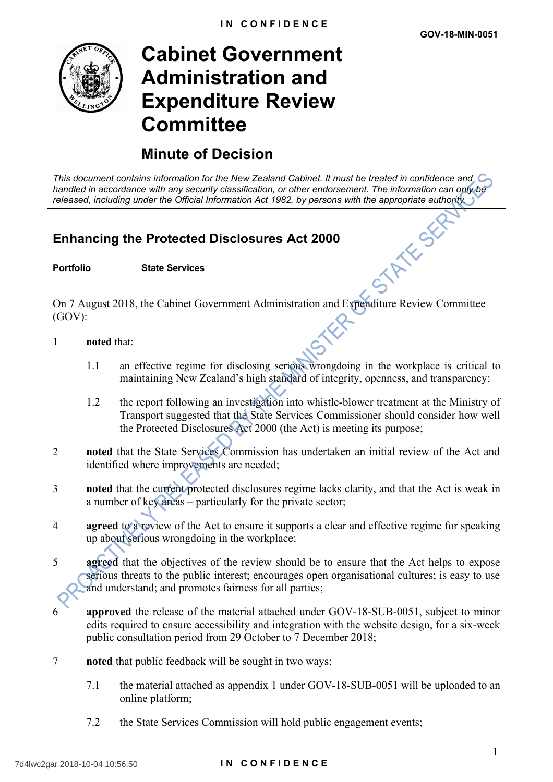

# **Cabinet Government Administration and Expenditure Review Committee**

# **Minute of Decision**

*This document contains information for the New Zealand Cabinet. It must be treated in confidence and handled in accordance with any security classification, or other endorsement. The information can only be released, including under the Official Information Act 1982, by persons with the appropriate authority.*<br> **Enhancing the Protected Disclosures Act 2000**<br>
Portfolio State Services

## **Enhancing the Protected Disclosures Act 2000**

#### **Portfolio State Services**

On 7 August 2018, the Cabinet Government Administration and Expenditure Review Committee (GOV):

- 1 **noted** that:
	- 1.1 an effective regime for disclosing serious wrongdoing in the workplace is critical to maintaining New Zealand's high standard of integrity, openness, and transparency;
	- 1.2 the report following an investigation into whistle-blower treatment at the Ministry of Transport suggested that the State Services Commissioner should consider how well the Protected Disclosures Act 2000 (the Act) is meeting its purpose;
- 2 **noted** that the State Services Commission has undertaken an initial review of the Act and identified where improvements are needed;
- 3 **noted** that the current protected disclosures regime lacks clarity, and that the Act is weak in a number of key areas – particularly for the private sector;
- 4 **agreed** to a review of the Act to ensure it supports a clear and effective regime for speaking up about serious wrongdoing in the workplace;
- 5 **agreed** that the objectives of the review should be to ensure that the Act helps to expose serious threats to the public interest; encourages open organisational cultures; is easy to use and understand; and promotes fairness for all parties;
- **approved** the release of the material attached under GOV-18-SUB-0051, subject to minor edits required to ensure accessibility and integration with the website design, for a six-week public consultation period from 29 October to 7 December 2018;
- 7 **noted** that public feedback will be sought in two ways:
	- 7.1 the material attached as appendix 1 under GOV-18-SUB-0051 will be uploaded to an online platform;
	- 7.2 the State Services Commission will hold public engagement events;